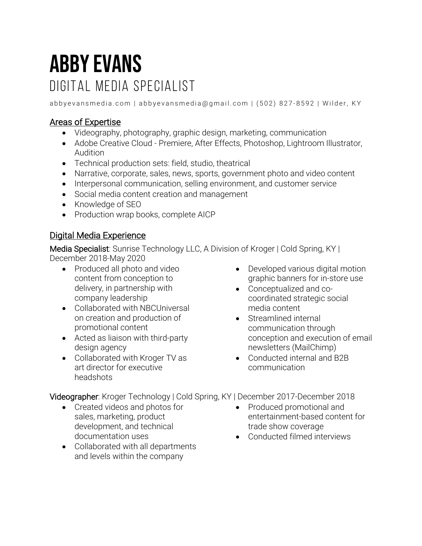# Abby Evans Digital media specialist

abbyevansmedia.com | abbyevansmedia@gmail.com | (502) 827-8592 | Wilder, KY

## Areas of Expertise

- Videography, photography, graphic design, marketing, communication
- Adobe Creative Cloud Premiere, After Effects, Photoshop, Lightroom Illustrator, Audition
- Technical production sets: field, studio, theatrical
- Narrative, corporate, sales, news, sports, government photo and video content
- Interpersonal communication, selling environment, and customer service
- Social media content creation and management
- Knowledge of SEO
- Production wrap books, complete AICP

#### Digital Media Experience

Media Specialist: Sunrise Technology LLC, A Division of Kroger | Cold Spring, KY | December 2018-May 2020

- Produced all photo and video content from conception to delivery, in partnership with company leadership
- Collaborated with NBCUniversal on creation and production of promotional content
- Acted as liaison with third-party design agency
- Collaborated with Kroger TV as art director for executive headshots
- Developed various digital motion graphic banners for in-store use
- Conceptualized and cocoordinated strategic social media content
- Streamlined internal communication through conception and execution of email newsletters (MailChimp)
- Conducted internal and B2B communication

Videographer: Kroger Technology | Cold Spring, KY | December 2017-December 2018

- Created videos and photos for sales, marketing, product development, and technical documentation uses
- Collaborated with all departments and levels within the company
- Produced promotional and entertainment-based content for trade show coverage
- Conducted filmed interviews